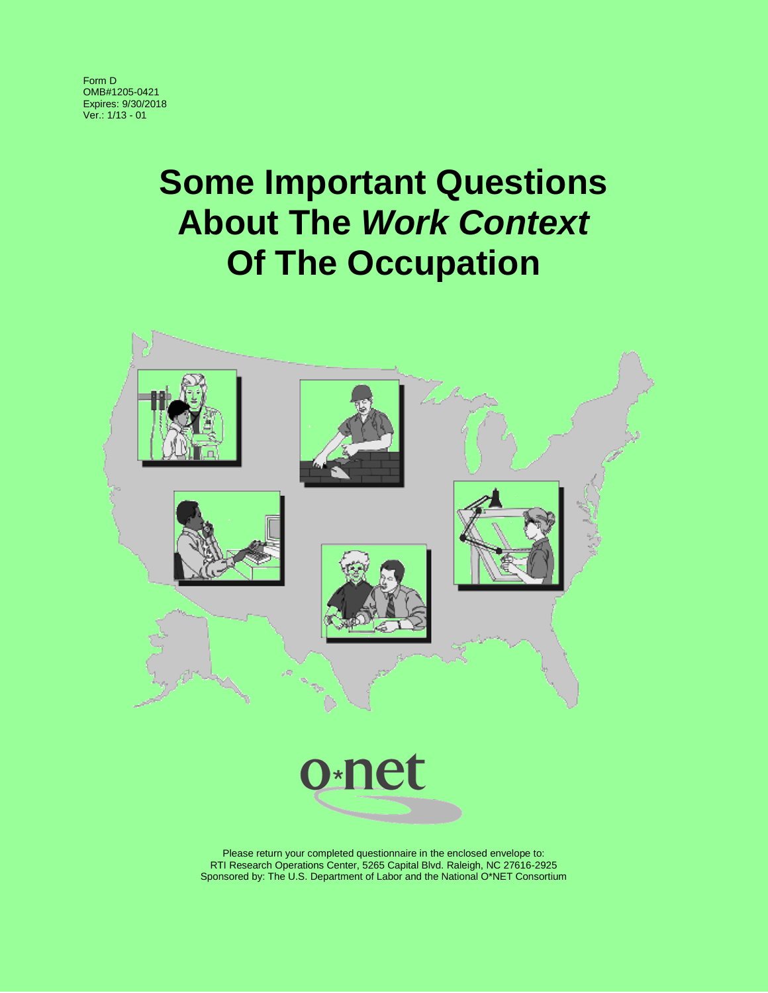Form D OMB#1205-0421 Expires: 9/30/2018 Ver.: 1/13 - 01

# **Some Important Questions About The** *Work Context* **Of The Occupation**



RTI Research Operations Center, 5265 Capital Blvd. Raleigh, NC 27616-2925 Sponsored by: The U.S. Department of Labor and the National O\*NET Consortium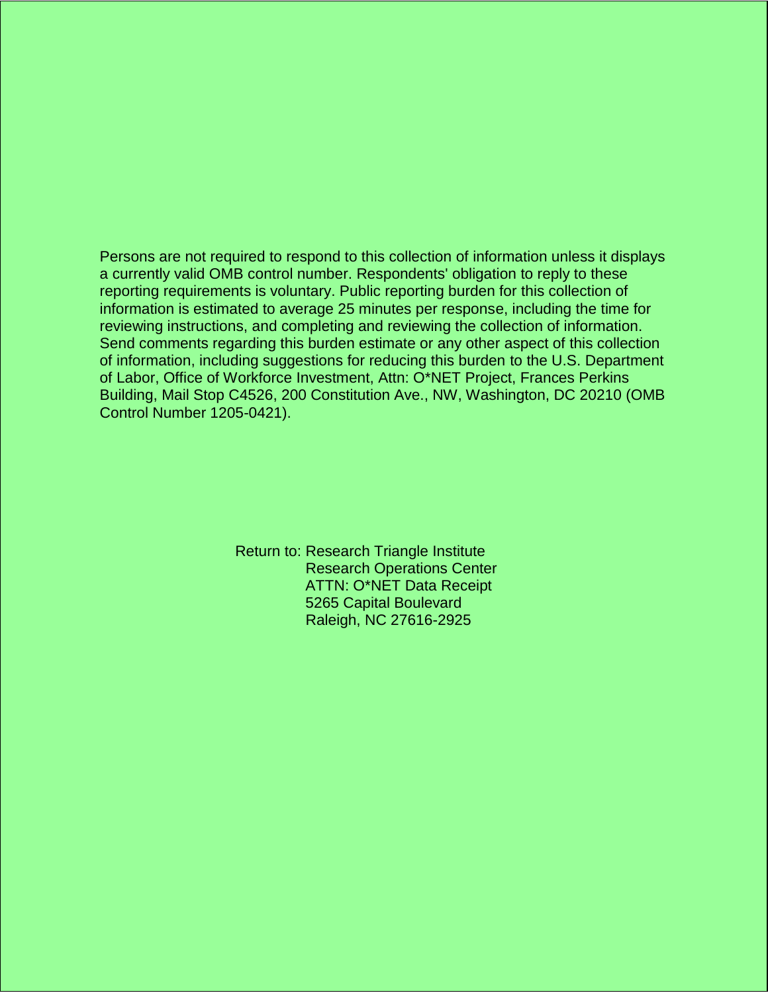Persons are not required to respond to this collection of information unless it displays a currently valid OMB control number. Respondents' obligation to reply to these reporting requirements is voluntary. Public reporting burden for this collection of information is estimated to average 25 minutes per response, including the time for reviewing instructions, and completing and reviewing the collection of information. Send comments regarding this burden estimate or any other aspect of this collection of information, including suggestions for reducing this burden to the U.S. Department of Labor, Office of Workforce Investment, Attn: O\*NET Project, Frances Perkins Building, Mail Stop C4526, 200 Constitution Ave., NW, Washington, DC 20210 (OMB Control Number 1205-0421).

> Return to: Research Triangle Institute Research Operations Center ATTN: O\*NET Data Receipt 5265 Capital Boulevard Raleigh, NC 27616-2925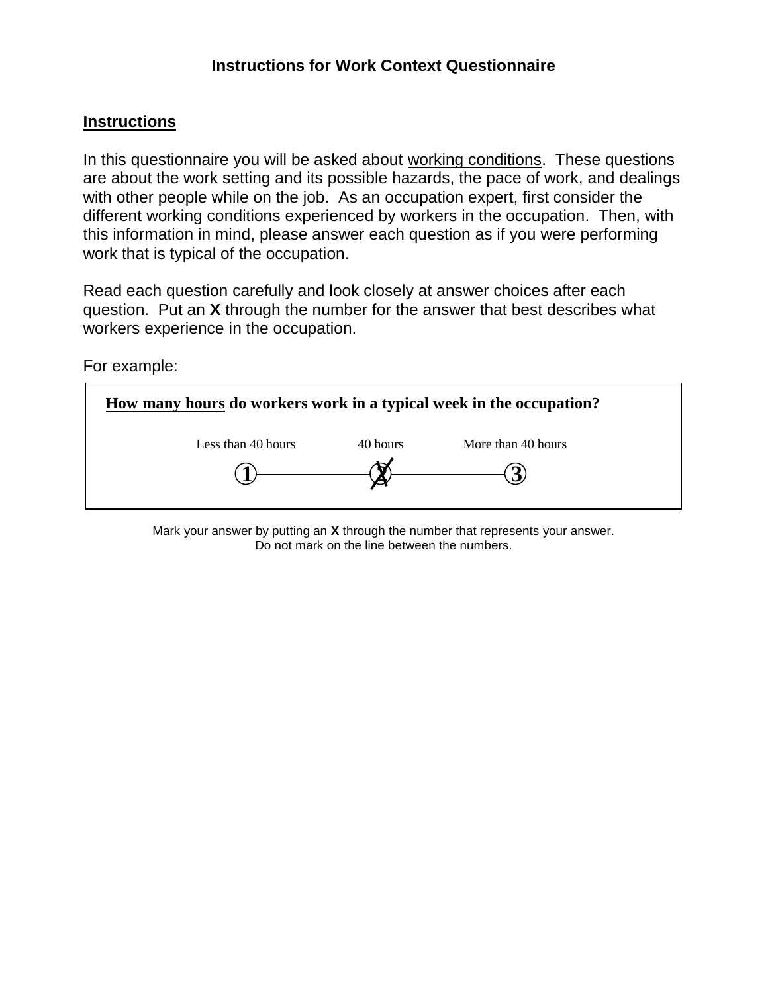## **Instructions for Work Context Questionnaire**

## **Instructions**

In this questionnaire you will be asked about working conditions. These questions are about the work setting and its possible hazards, the pace of work, and dealings with other people while on the job. As an occupation expert, first consider the different working conditions experienced by workers in the occupation. Then, with this information in mind, please answer each question as if you were performing work that is typical of the occupation.

Read each question carefully and look closely at answer choices after each question. Put an **X** through the number for the answer that best describes what workers experience in the occupation.

For example:



Mark your answer by putting an **X** through the number that represents your answer. Do not mark on the line between the numbers.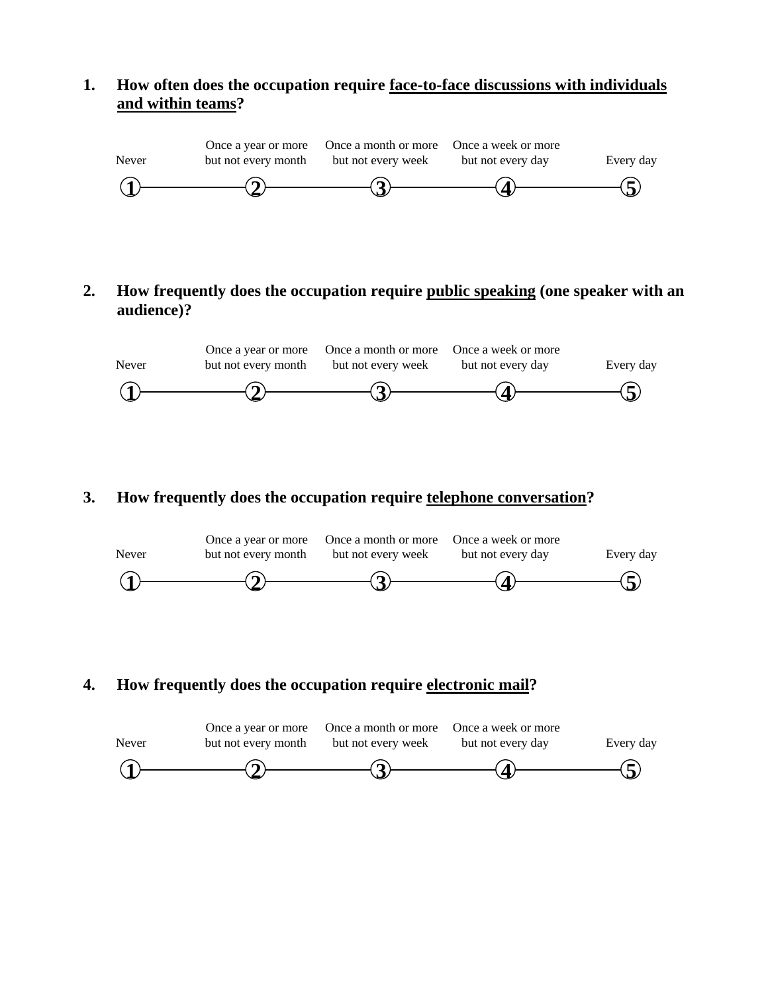## **1. How often does the occupation require face-to-face discussions with individuals and within teams?**



**2. How frequently does the occupation require public speaking (one speaker with an audience)?**



## **3. How frequently does the occupation require telephone conversation?**



**4. How frequently does the occupation require electronic mail?**

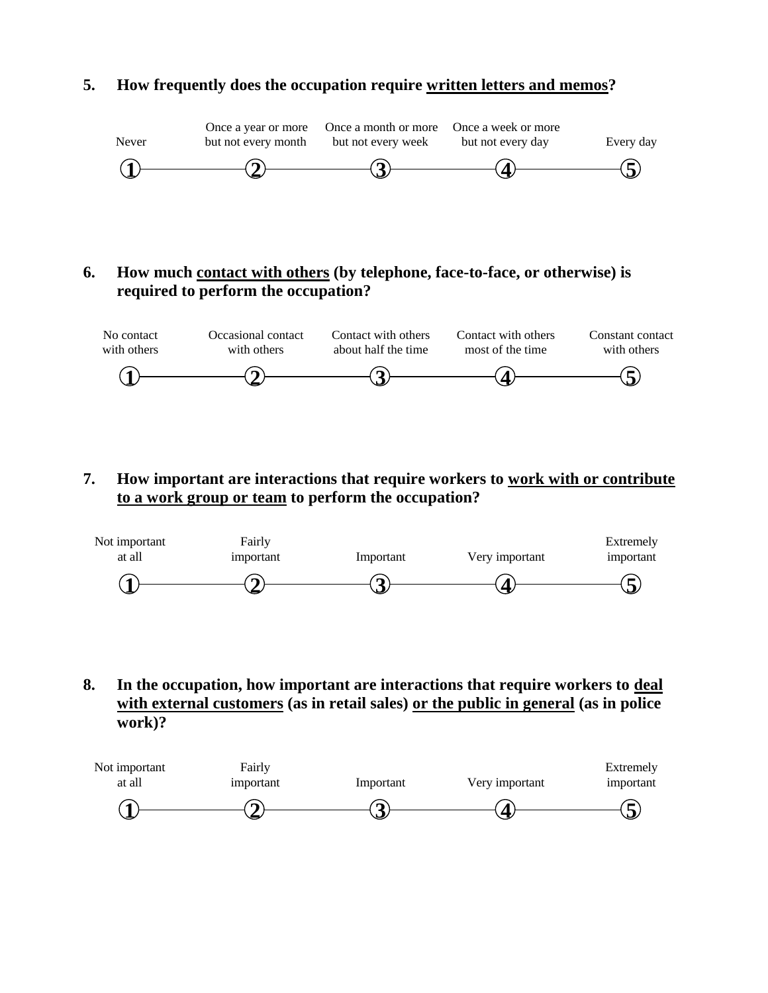## **5. How frequently does the occupation require written letters and memos?**



## **6. How much contact with others (by telephone, face-to-face, or otherwise) is required to perform the occupation?**



**7. How important are interactions that require workers to work with or contribute to a work group or team to perform the occupation?**



**8. In the occupation, how important are interactions that require workers to deal with external customers (as in retail sales) or the public in general (as in police work)?**

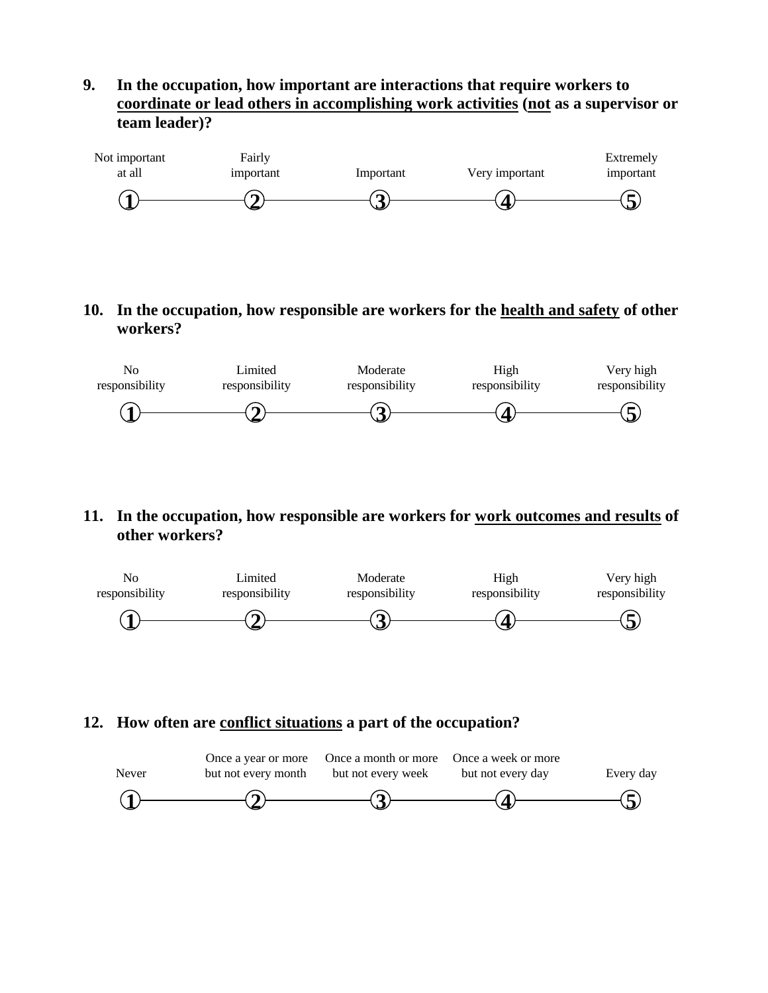**9. In the occupation, how important are interactions that require workers to coordinate or lead others in accomplishing work activities (not as a supervisor or team leader)?**



**10. In the occupation, how responsible are workers for the health and safety of other workers?**



#### **11. In the occupation, how responsible are workers for work outcomes and results of other workers?**



#### **12. How often are conflict situations a part of the occupation?**

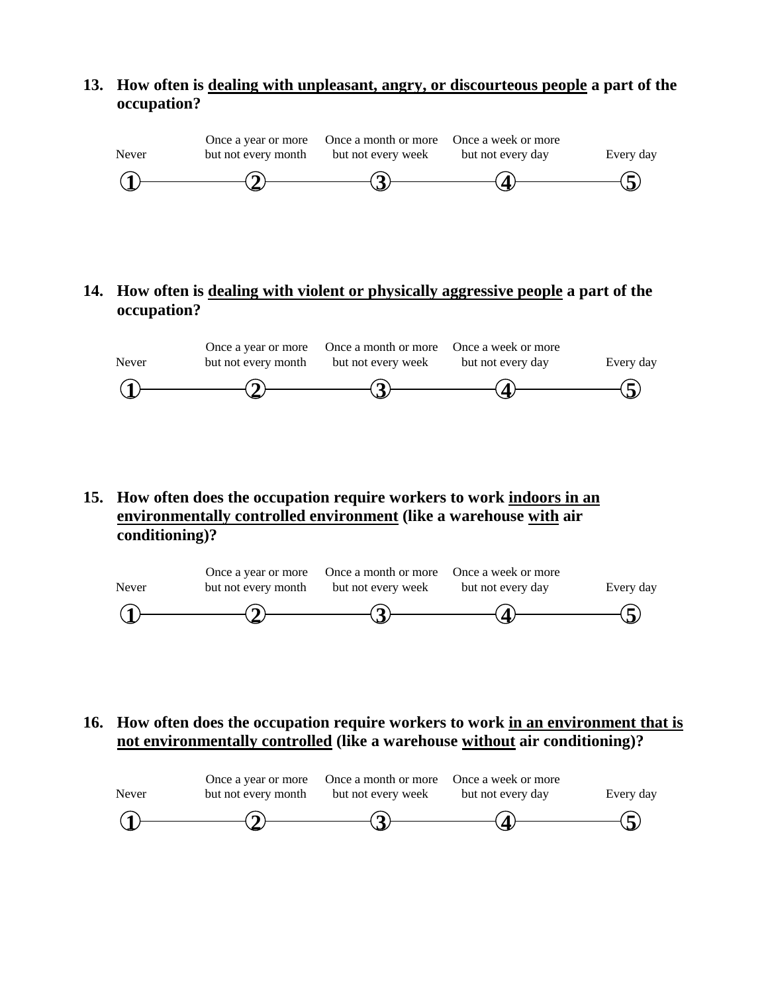## **13. How often is dealing with unpleasant, angry, or discourteous people a part of the occupation?**



## **14. How often is dealing with violent or physically aggressive people a part of the occupation?**



**15. How often does the occupation require workers to work indoors in an environmentally controlled environment (like a warehouse with air conditioning)?**



## **16. How often does the occupation require workers to work in an environment that is not environmentally controlled (like a warehouse without air conditioning)?**

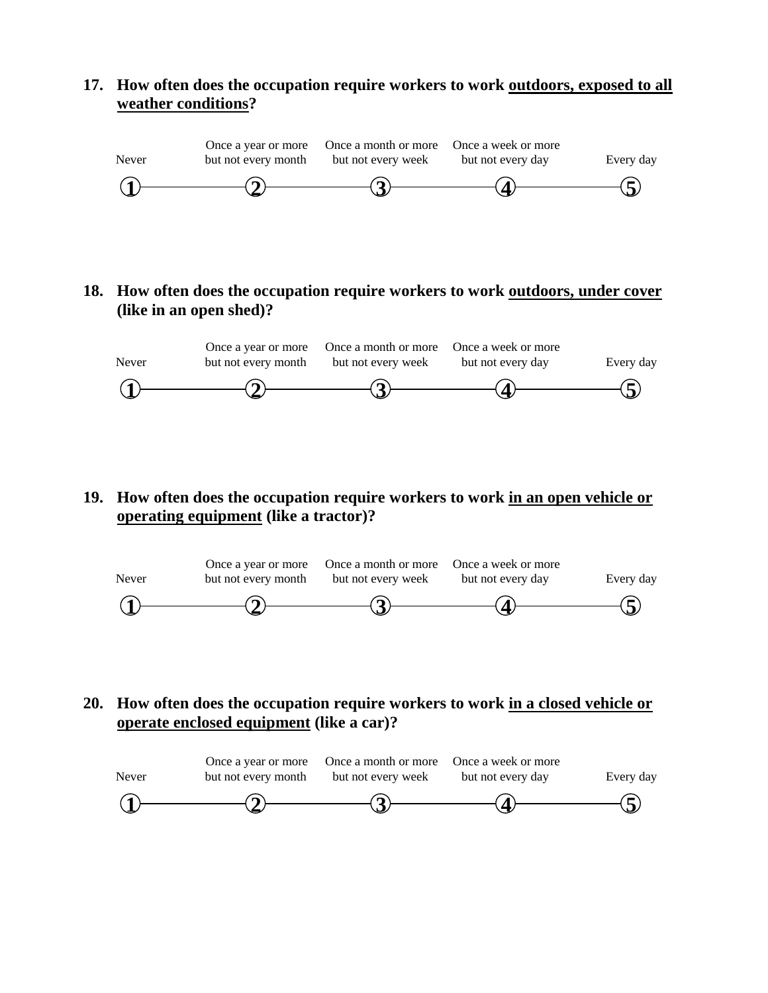#### **17. How often does the occupation require workers to work outdoors, exposed to all weather conditions?**



**18. How often does the occupation require workers to work outdoors, under cover (like in an open shed)?**



**19. How often does the occupation require workers to work in an open vehicle or operating equipment (like a tractor)?**



**20. How often does the occupation require workers to work in a closed vehicle or operate enclosed equipment (like a car)?**

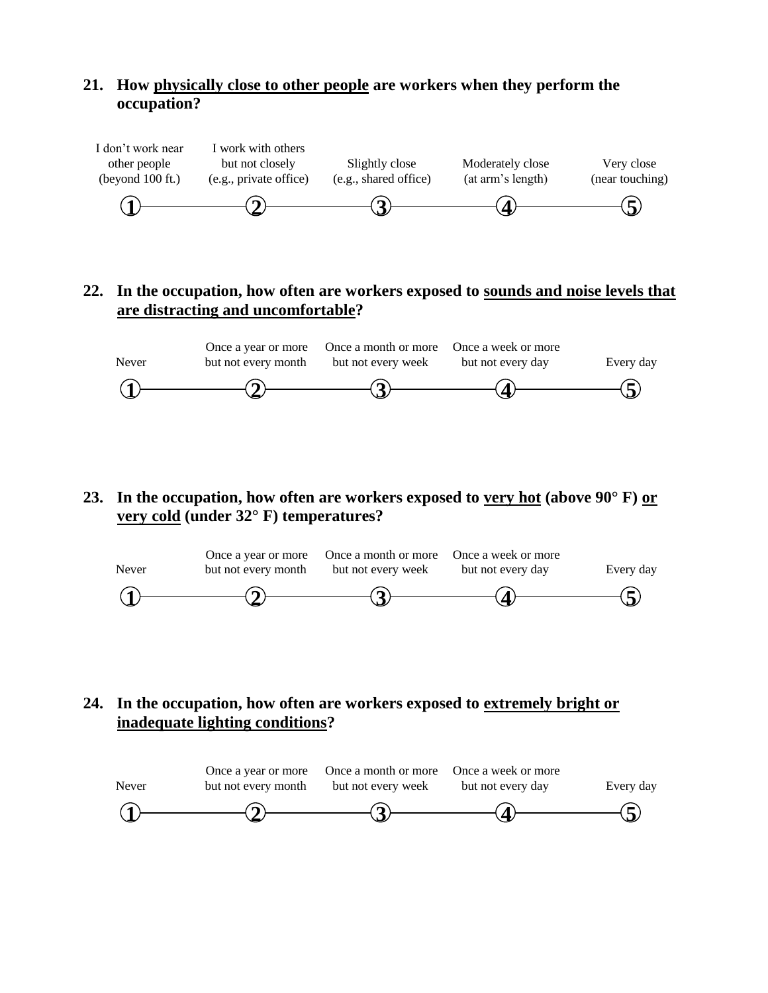## **21. How physically close to other people are workers when they perform the occupation?**



## **22. In the occupation, how often are workers exposed to sounds and noise levels that are distracting and uncomfortable?**



**23. In the occupation, how often are workers exposed to very hot (above 90° F) or very cold (under 32° F) temperatures?**



## **24. In the occupation, how often are workers exposed to extremely bright or inadequate lighting conditions?**

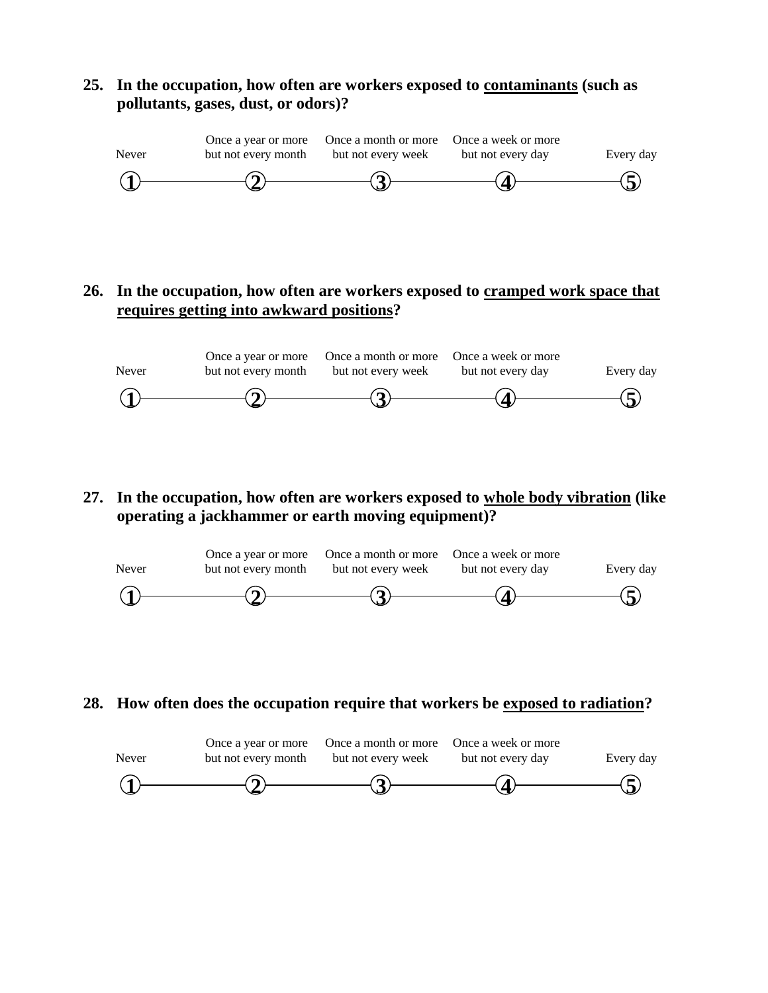## **25. In the occupation, how often are workers exposed to contaminants (such as pollutants, gases, dust, or odors)?**



## **26. In the occupation, how often are workers exposed to cramped work space that requires getting into awkward positions?**



**27. In the occupation, how often are workers exposed to whole body vibration (like operating a jackhammer or earth moving equipment)?**



**28. How often does the occupation require that workers be exposed to radiation?**

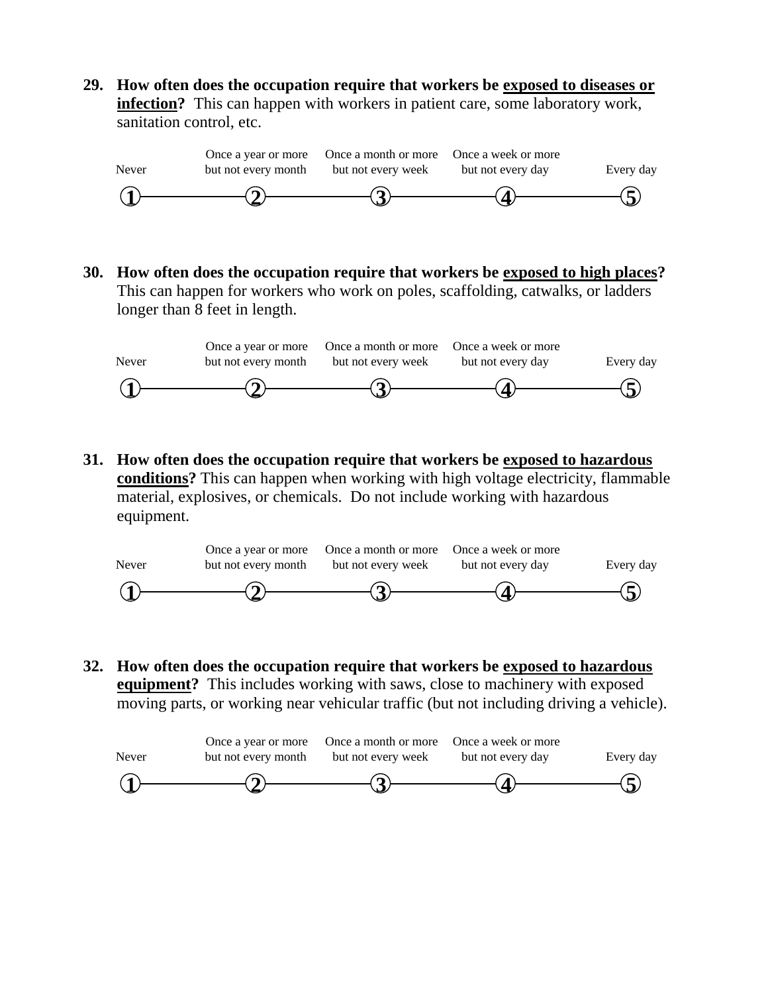**29. How often does the occupation require that workers be exposed to diseases or infection?** This can happen with workers in patient care, some laboratory work, sanitation control, etc.



**30. How often does the occupation require that workers be exposed to high places?**  This can happen for workers who work on poles, scaffolding, catwalks, or ladders longer than 8 feet in length.



**31. How often does the occupation require that workers be exposed to hazardous conditions?** This can happen when working with high voltage electricity, flammable material, explosives, or chemicals. Do not include working with hazardous equipment.



**32. How often does the occupation require that workers be exposed to hazardous equipment?** This includes working with saws, close to machinery with exposed moving parts, or working near vehicular traffic (but not including driving a vehicle).

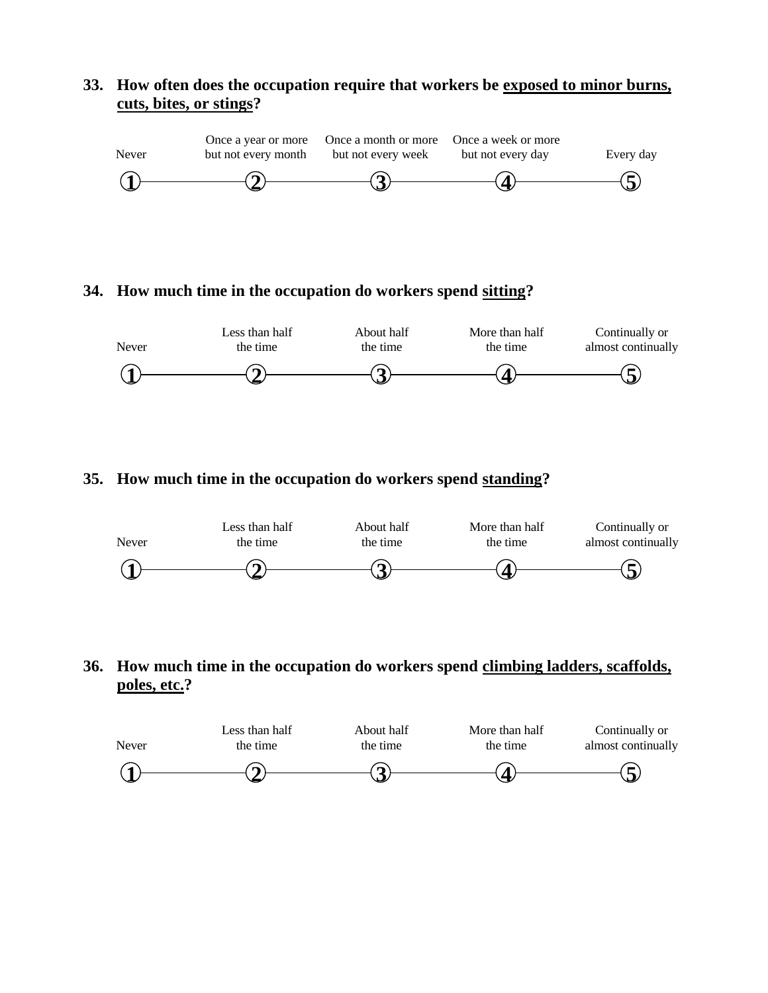## **33. How often does the occupation require that workers be exposed to minor burns, cuts, bites, or stings?**



#### **34. How much time in the occupation do workers spend sitting?**



## **35. How much time in the occupation do workers spend standing?**



## **36. How much time in the occupation do workers spend climbing ladders, scaffolds, poles, etc.?**

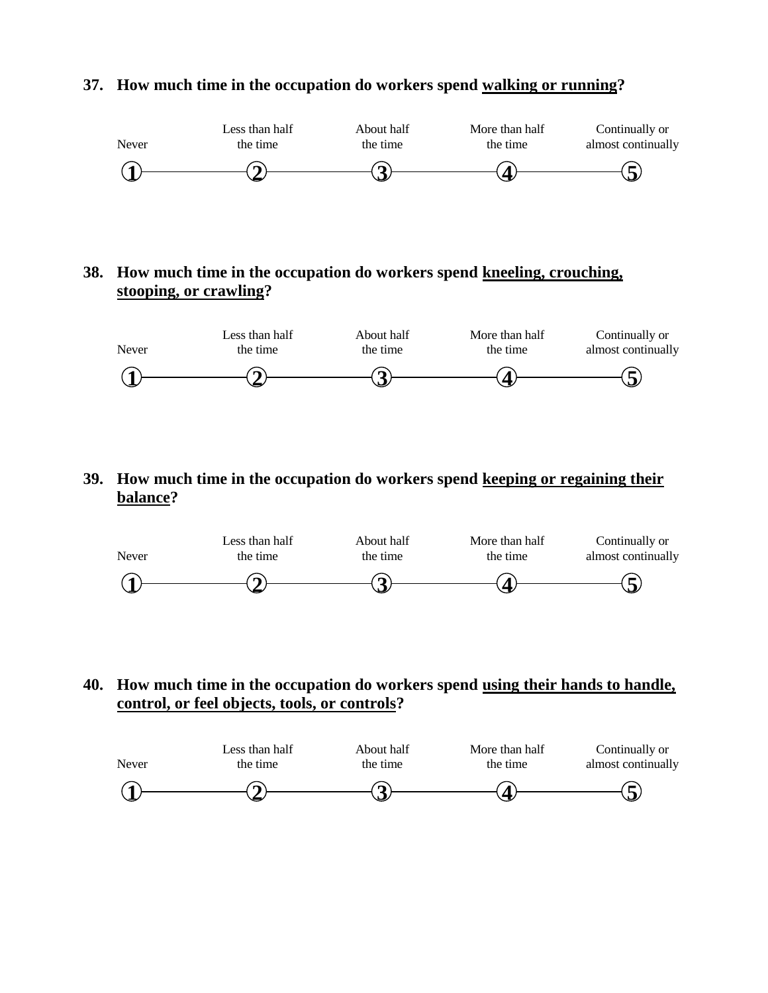

#### **37. How much time in the occupation do workers spend walking or running?**

## **38. How much time in the occupation do workers spend kneeling, crouching, stooping, or crawling?**



**39. How much time in the occupation do workers spend keeping or regaining their balance?**



## **40. How much time in the occupation do workers spend using their hands to handle, control, or feel objects, tools, or controls?**

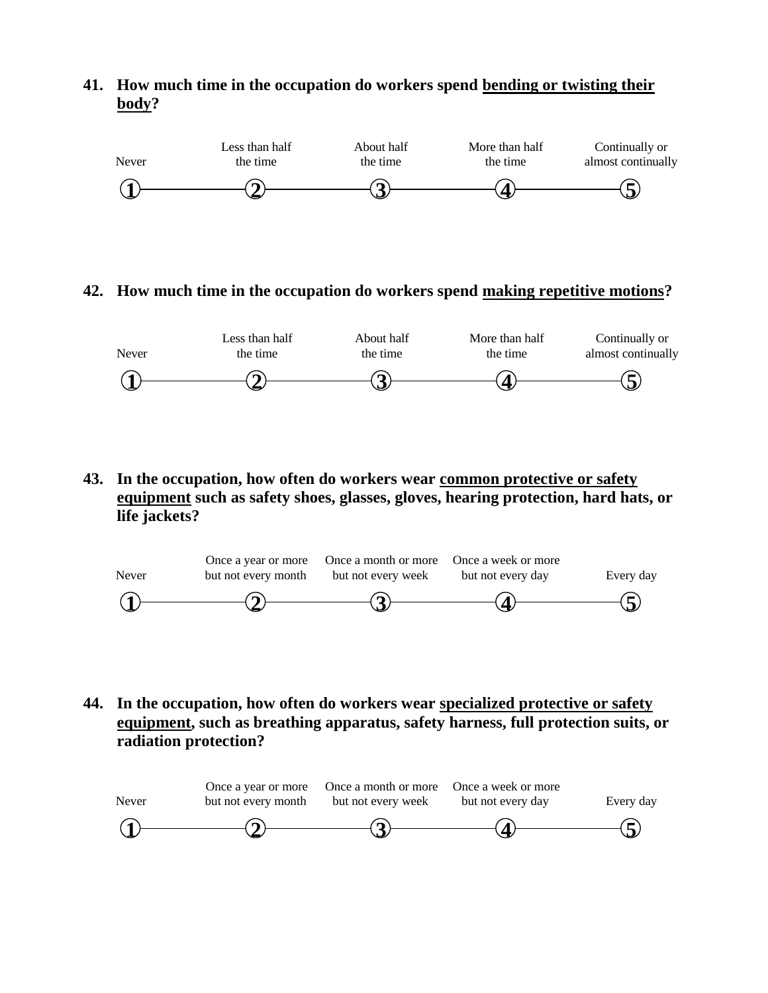## **41. How much time in the occupation do workers spend bending or twisting their body?**



#### **42. How much time in the occupation do workers spend making repetitive motions?**



**43. In the occupation, how often do workers wear common protective or safety equipment such as safety shoes, glasses, gloves, hearing protection, hard hats, or life jackets?**



**44. In the occupation, how often do workers wear specialized protective or safety equipment, such as breathing apparatus, safety harness, full protection suits, or radiation protection?**

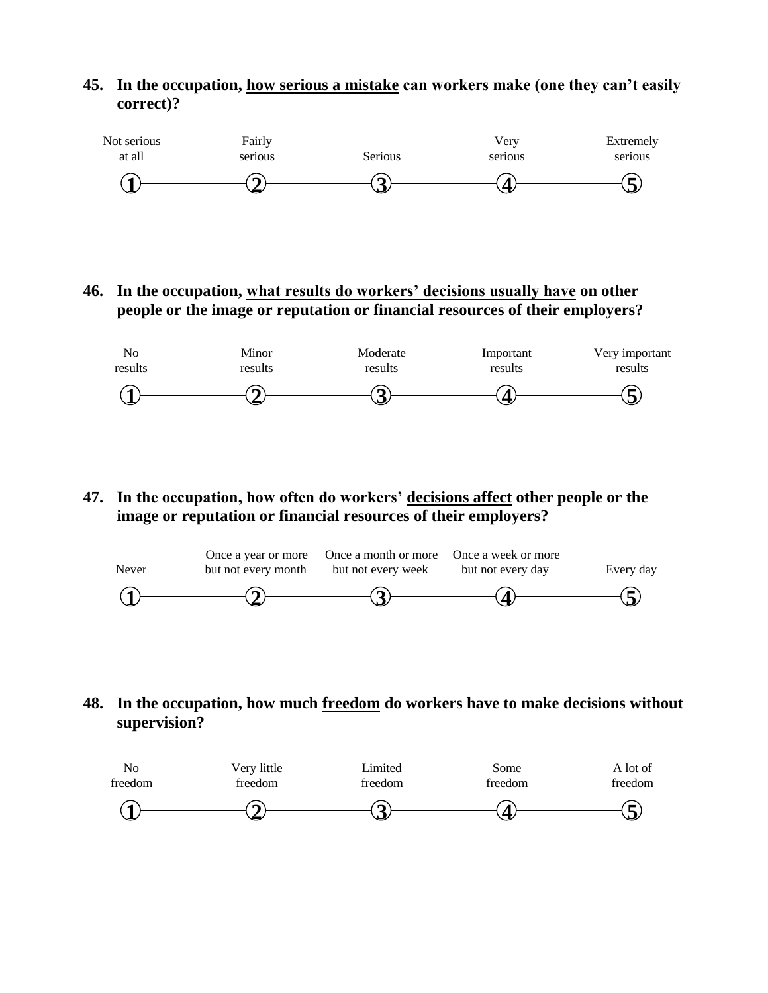## **45. In the occupation, how serious a mistake can workers make (one they can't easily correct)?**



**46. In the occupation, what results do workers' decisions usually have on other people or the image or reputation or financial resources of their employers?**



**47. In the occupation, how often do workers' decisions affect other people or the image or reputation or financial resources of their employers?**



**48. In the occupation, how much freedom do workers have to make decisions without supervision?**

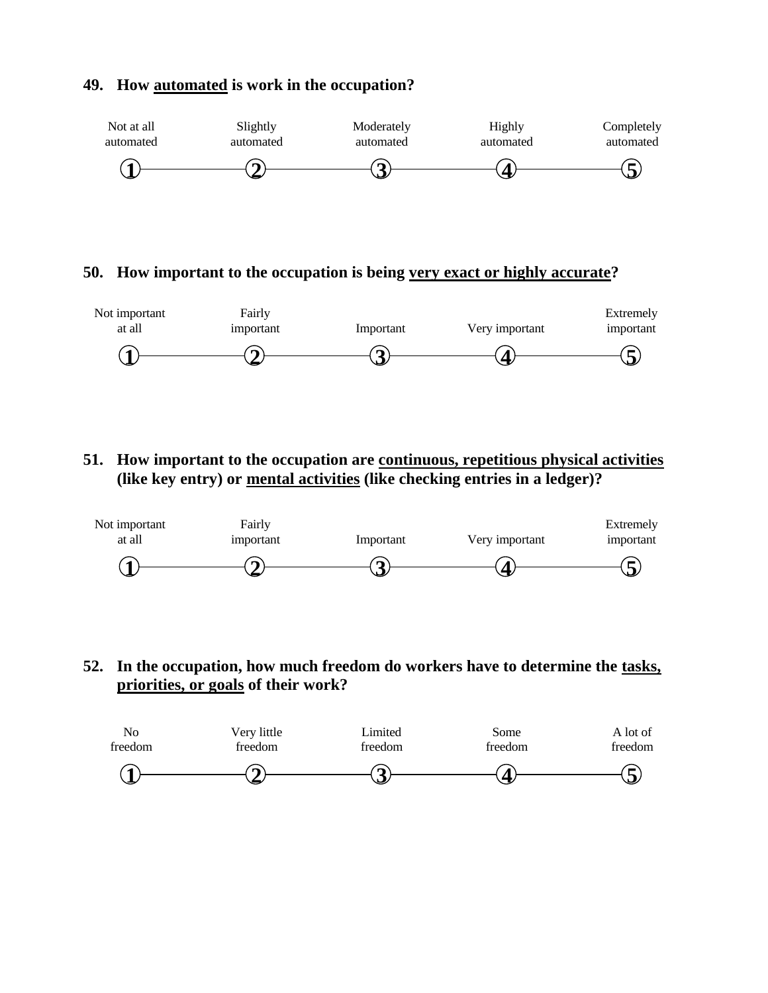

#### **49. How automated is work in the occupation?**

#### **50. How important to the occupation is being very exact or highly accurate?**



**51. How important to the occupation are continuous, repetitious physical activities (like key entry) or mental activities (like checking entries in a ledger)?**



**52. In the occupation, how much freedom do workers have to determine the tasks, priorities, or goals of their work?**

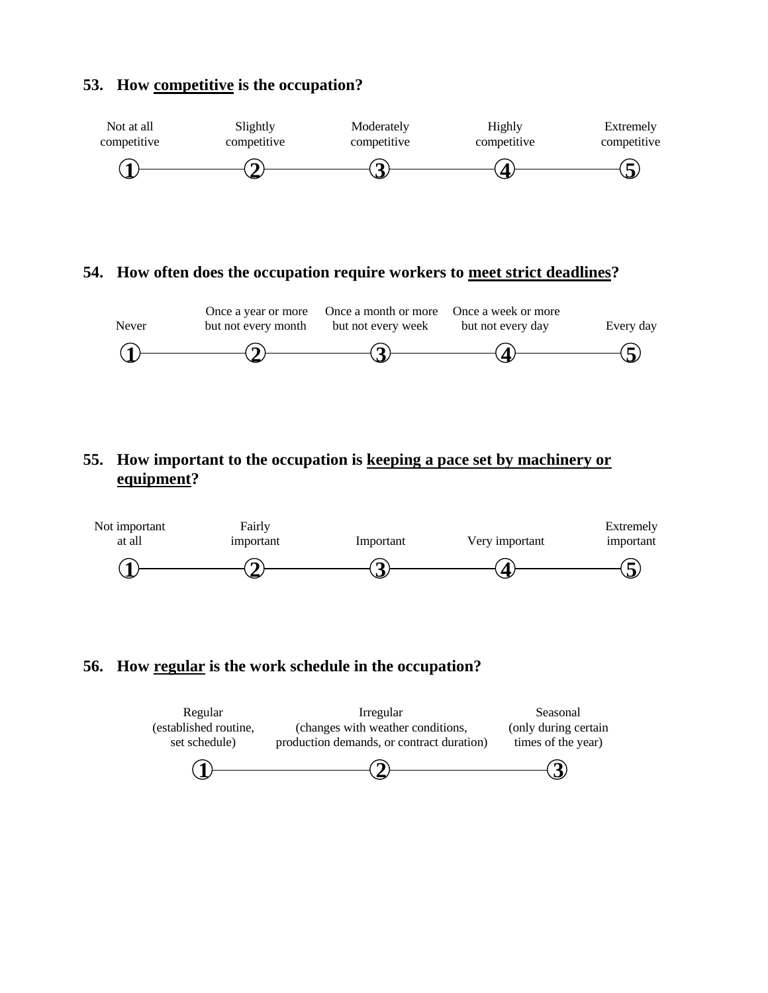### **53. How competitive is the occupation?**



#### **54. How often does the occupation require workers to meet strict deadlines?**



## **55. How important to the occupation is keeping a pace set by machinery or equipment?**



#### **56. How regular is the work schedule in the occupation?**